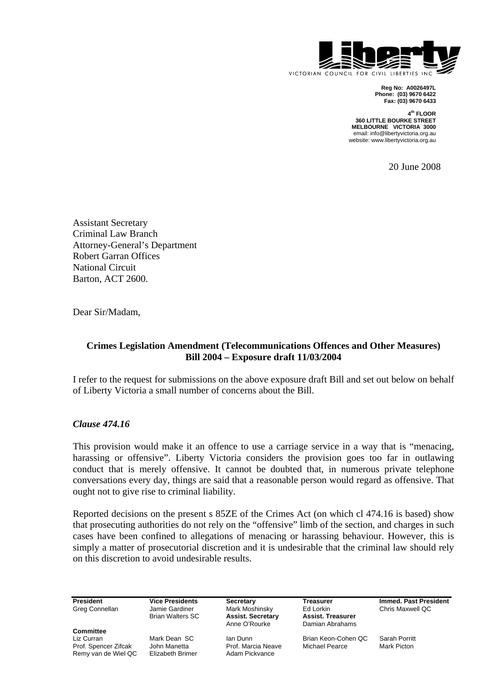

**Reg No: A0026497L Phone: (03) 9670 6422 Fax: (03) 9670 6433** 

**4th FLOOR 360 LITTLE BOURKE STREET MELBOURNE VICTORIA 3000**  email: info@libertyvictoria.org.au website: www.libertyvictoria.org.au

20 June 2008

Assistant Secretary Criminal Law Branch Attorney-General's Department Robert Garran Offices National Circuit Barton, ACT 2600.

Dear Sir/Madam,

# **Crimes Legislation Amendment (Telecommunications Offences and Other Measures) Bill 2004 – Exposure draft 11/03/2004**

I refer to the request for submissions on the above exposure draft Bill and set out below on behalf of Liberty Victoria a small number of concerns about the Bill.

## *Clause 474.16*

This provision would make it an offence to use a carriage service in a way that is "menacing, harassing or offensive". Liberty Victoria considers the provision goes too far in outlawing conduct that is merely offensive. It cannot be doubted that, in numerous private telephone conversations every day, things are said that a reasonable person would regard as offensive. That ought not to give rise to criminal liability.

Reported decisions on the present s 85ZE of the Crimes Act (on which cl 474.16 is based) show that prosecuting authorities do not rely on the "offensive" limb of the section, and charges in such cases have been confined to allegations of menacing or harassing behaviour. However, this is simply a matter of prosecutorial discretion and it is undesirable that the criminal law should rely on this discretion to avoid undesirable results.

Greg Connellan Jamie Gardiner Mark Moshinsky Ed Lorkin Chris Maxwell QC<br>Brian Walters SC Assist. Secretary Assist. Treasurer

**Committee** Liz Curran Mark Dean SC Ian Dunn Brian Keon-Cohen QC Sarah Porritt Prof. Spencer Zifcak John Manetta Prof. Marcia Neaven Christen Pearce Theories Rearch Pearce Rearce Rearce Me<br>Remy van de Wiel QC Elizabeth Brimer Adam Pickvance Remy van de Wiel QC

**Assist. Secretary Assist. Treasurer<br>Anne O'Rourke Damian Abrahams** Damian Abrahams

**President Vice Presidents Secretary Treasurer Immed. Past President Creational Connellan Chris Maxwell OC** Chris Maxwell OC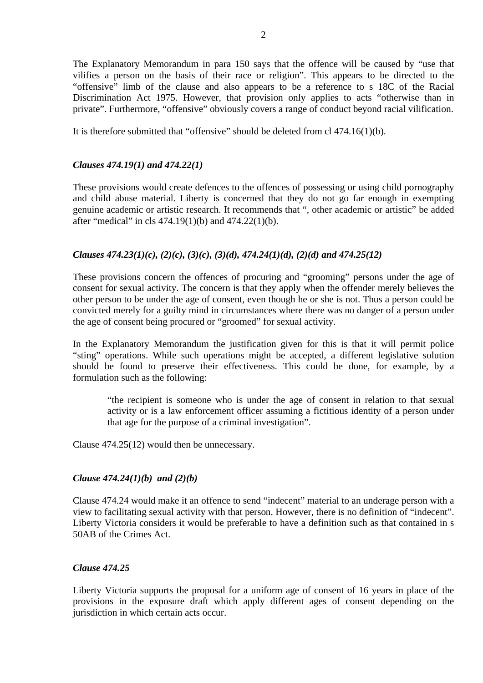The Explanatory Memorandum in para 150 says that the offence will be caused by "use that vilifies a person on the basis of their race or religion". This appears to be directed to the "offensive" limb of the clause and also appears to be a reference to s 18C of the Racial Discrimination Act 1975. However, that provision only applies to acts "otherwise than in private". Furthermore, "offensive" obviously covers a range of conduct beyond racial vilification.

It is therefore submitted that "offensive" should be deleted from cl 474.16(1)(b).

## *Clauses 474.19(1) and 474.22(1)*

These provisions would create defences to the offences of possessing or using child pornography and child abuse material. Liberty is concerned that they do not go far enough in exempting genuine academic or artistic research. It recommends that ", other academic or artistic" be added after "medical" in cls 474.19(1)(b) and 474.22(1)(b).

# *Clauses 474.23(1)(c), (2)(c), (3)(c), (3)(d), 474.24(1)(d), (2)(d) and 474.25(12)*

These provisions concern the offences of procuring and "grooming" persons under the age of consent for sexual activity. The concern is that they apply when the offender merely believes the other person to be under the age of consent, even though he or she is not. Thus a person could be convicted merely for a guilty mind in circumstances where there was no danger of a person under the age of consent being procured or "groomed" for sexual activity.

In the Explanatory Memorandum the justification given for this is that it will permit police "sting" operations. While such operations might be accepted, a different legislative solution should be found to preserve their effectiveness. This could be done, for example, by a formulation such as the following:

"the recipient is someone who is under the age of consent in relation to that sexual activity or is a law enforcement officer assuming a fictitious identity of a person under that age for the purpose of a criminal investigation".

Clause 474.25(12) would then be unnecessary.

## *Clause 474.24(1)(b) and (2)(b)*

Clause 474.24 would make it an offence to send "indecent" material to an underage person with a view to facilitating sexual activity with that person. However, there is no definition of "indecent". Liberty Victoria considers it would be preferable to have a definition such as that contained in s 50AB of the Crimes Act.

## *Clause 474.25*

Liberty Victoria supports the proposal for a uniform age of consent of 16 years in place of the provisions in the exposure draft which apply different ages of consent depending on the jurisdiction in which certain acts occur.